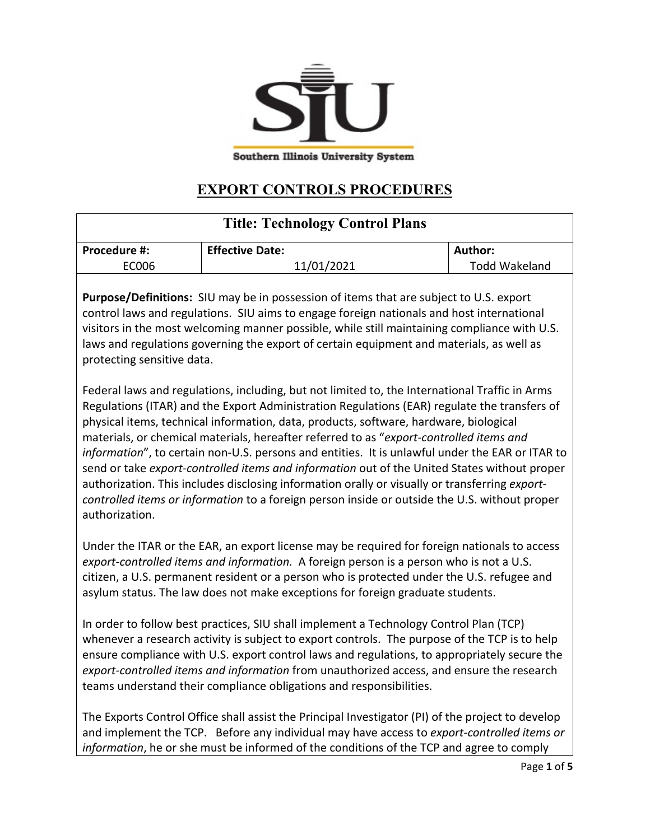

**Southern Illinois University System** 

## **EXPORT CONTROLS PROCEDURES**

| <b>Title: Technology Control Plans</b>                                                                                                                                                     |                        |                      |
|--------------------------------------------------------------------------------------------------------------------------------------------------------------------------------------------|------------------------|----------------------|
| <b>Procedure #:</b>                                                                                                                                                                        | <b>Effective Date:</b> | Author:              |
| EC006                                                                                                                                                                                      | 11/01/2021             | <b>Todd Wakeland</b> |
| <b>Purpose/Definitions:</b> SIU may be in possession of items that are subject to U.S. export<br>control laws and regulations. SIU aims to engage foreign nationals and host international |                        |                      |
| visitors in the most welcoming manner possible, while still maintaining compliance with U.S.<br>laws and regulations governing the export of certain equipment and materials, as well as   |                        |                      |

protecting sensitive data.

Federal laws and regulations, including, but not limited to, the International Traffic in Arms Regulations (ITAR) and the Export Administration Regulations (EAR) regulate the transfers of physical items, technical information, data, products, software, hardware, biological materials, or chemical materials, hereafter referred to as "*export-controlled items and information*", to certain non-U.S. persons and entities. It is unlawful under the EAR or ITAR to send or take *export-controlled items and information* out of the United States without proper authorization. This includes disclosing information orally or visually or transferring *exportcontrolled items or information* to a foreign person inside or outside the U.S. without proper authorization.

Under the ITAR or the EAR, an export license may be required for foreign nationals to access *export-controlled items and information.* A foreign person is a person who is not a U.S. citizen, a U.S. permanent resident or a person who is protected under the U.S. refugee and asylum status. The law does not make exceptions for foreign graduate students.

In order to follow best practices, SIU shall implement a Technology Control Plan (TCP) whenever a research activity is subject to export controls. The purpose of the TCP is to help ensure compliance with U.S. export control laws and regulations, to appropriately secure the *export-controlled items and information* from unauthorized access, and ensure the research teams understand their compliance obligations and responsibilities.

The Exports Control Office shall assist the Principal Investigator (PI) of the project to develop and implement the TCP. Before any individual may have access to *export-controlled items or information*, he or she must be informed of the conditions of the TCP and agree to comply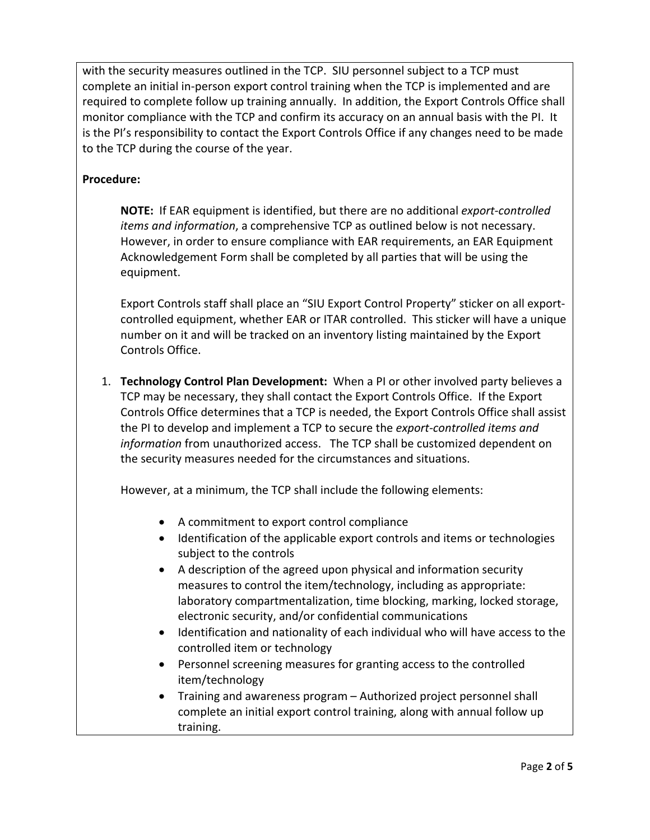with the security measures outlined in the TCP. SIU personnel subject to a TCP must complete an initial in-person export control training when the TCP is implemented and are required to complete follow up training annually. In addition, the Export Controls Office shall monitor compliance with the TCP and confirm its accuracy on an annual basis with the PI. It is the PI's responsibility to contact the Export Controls Office if any changes need to be made to the TCP during the course of the year.

## **Procedure:**

**NOTE:** If EAR equipment is identified, but there are no additional *export-controlled items and information*, a comprehensive TCP as outlined below is not necessary. However, in order to ensure compliance with EAR requirements, an EAR Equipment Acknowledgement Form shall be completed by all parties that will be using the equipment.

Export Controls staff shall place an "SIU Export Control Property" sticker on all exportcontrolled equipment, whether EAR or ITAR controlled. This sticker will have a unique number on it and will be tracked on an inventory listing maintained by the Export Controls Office.

1. **Technology Control Plan Development:** When a PI or other involved party believes a TCP may be necessary, they shall contact the Export Controls Office. If the Export Controls Office determines that a TCP is needed, the Export Controls Office shall assist the PI to develop and implement a TCP to secure the *export-controlled items and information* from unauthorized access. The TCP shall be customized dependent on the security measures needed for the circumstances and situations.

However, at a minimum, the TCP shall include the following elements:

- A commitment to export control compliance
- Identification of the applicable export controls and items or technologies subject to the controls
- A description of the agreed upon physical and information security measures to control the item/technology, including as appropriate: laboratory compartmentalization, time blocking, marking, locked storage, electronic security, and/or confidential communications
- Identification and nationality of each individual who will have access to the controlled item or technology
- Personnel screening measures for granting access to the controlled item/technology
- Training and awareness program Authorized project personnel shall complete an initial export control training, along with annual follow up training.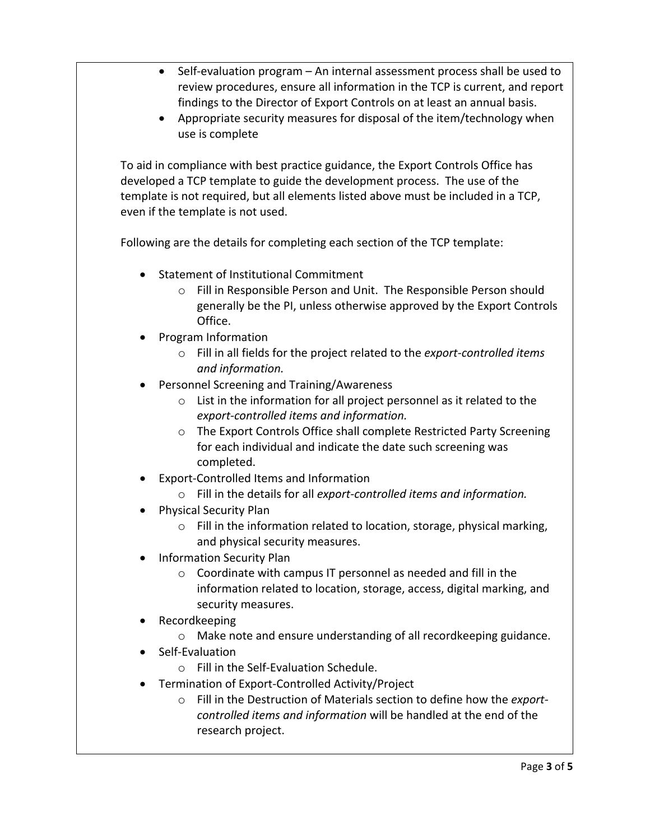- Self-evaluation program An internal assessment process shall be used to review procedures, ensure all information in the TCP is current, and report findings to the Director of Export Controls on at least an annual basis.
- Appropriate security measures for disposal of the item/technology when use is complete

To aid in compliance with best practice guidance, the Export Controls Office has developed a TCP template to guide the development process. The use of the template is not required, but all elements listed above must be included in a TCP, even if the template is not used.

Following are the details for completing each section of the TCP template:

- Statement of Institutional Commitment
	- o Fill in Responsible Person and Unit. The Responsible Person should generally be the PI, unless otherwise approved by the Export Controls Office.
- Program Information
	- o Fill in all fields for the project related to the *export-controlled items and information.*
- Personnel Screening and Training/Awareness
	- o List in the information for all project personnel as it related to the *export-controlled items and information.*
	- o The Export Controls Office shall complete Restricted Party Screening for each individual and indicate the date such screening was completed.
- Export-Controlled Items and Information
	- o Fill in the details for all *export-controlled items and information.*
- Physical Security Plan
	- o Fill in the information related to location, storage, physical marking, and physical security measures.
- Information Security Plan
	- o Coordinate with campus IT personnel as needed and fill in the information related to location, storage, access, digital marking, and security measures.
- Recordkeeping
	- o Make note and ensure understanding of all recordkeeping guidance.
- Self-Evaluation
	- o Fill in the Self-Evaluation Schedule.
- Termination of Export-Controlled Activity/Project
	- o Fill in the Destruction of Materials section to define how the *exportcontrolled items and information* will be handled at the end of the research project.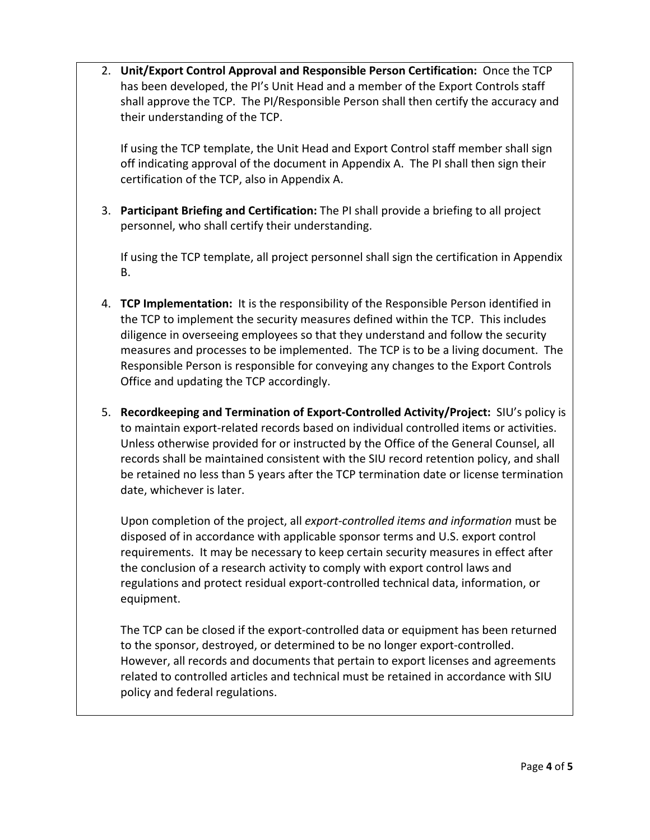2. **Unit/Export Control Approval and Responsible Person Certification:** Once the TCP has been developed, the PI's Unit Head and a member of the Export Controls staff shall approve the TCP. The PI/Responsible Person shall then certify the accuracy and their understanding of the TCP.

If using the TCP template, the Unit Head and Export Control staff member shall sign off indicating approval of the document in Appendix A. The PI shall then sign their certification of the TCP, also in Appendix A.

3. **Participant Briefing and Certification:** The PI shall provide a briefing to all project personnel, who shall certify their understanding.

If using the TCP template, all project personnel shall sign the certification in Appendix B.

- 4. **TCP Implementation:** It is the responsibility of the Responsible Person identified in the TCP to implement the security measures defined within the TCP. This includes diligence in overseeing employees so that they understand and follow the security measures and processes to be implemented. The TCP is to be a living document. The Responsible Person is responsible for conveying any changes to the Export Controls Office and updating the TCP accordingly.
- 5. **Recordkeeping and Termination of Export-Controlled Activity/Project:** SIU's policy is to maintain export-related records based on individual controlled items or activities. Unless otherwise provided for or instructed by the Office of the General Counsel, all records shall be maintained consistent with the SIU record retention policy, and shall be retained no less than 5 years after the TCP termination date or license termination date, whichever is later.

Upon completion of the project, all *export-controlled items and information* must be disposed of in accordance with applicable sponsor terms and U.S. export control requirements. It may be necessary to keep certain security measures in effect after the conclusion of a research activity to comply with export control laws and regulations and protect residual export-controlled technical data, information, or equipment.

The TCP can be closed if the export-controlled data or equipment has been returned to the sponsor, destroyed, or determined to be no longer export-controlled. However, all records and documents that pertain to export licenses and agreements related to controlled articles and technical must be retained in accordance with SIU policy and federal regulations.